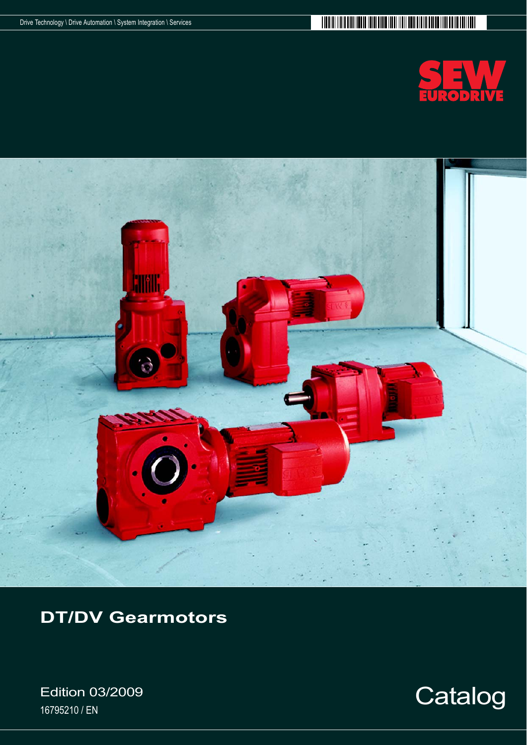



**DT/DV Gearmotors**

Edition 03/2009 Edition 03/2009<br>16795210/EN Catalog

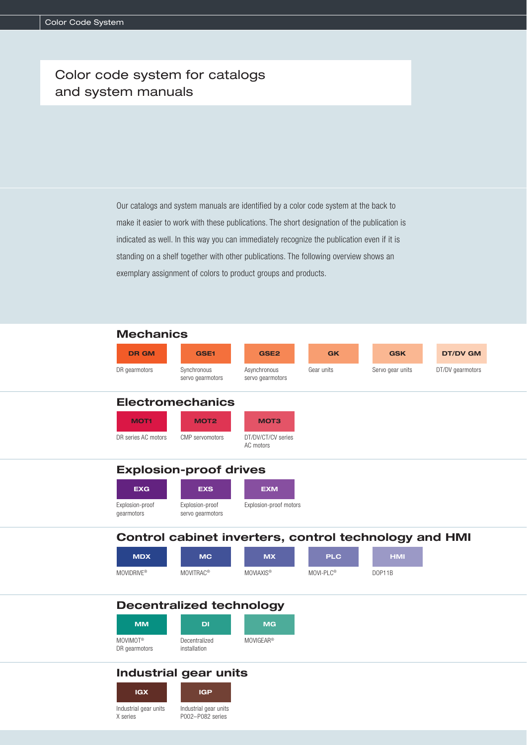## Color code system for catalogs and system manuals

Our catalogs and system manuals are identified by a color code system at the back to make it easier to work with these publications. The short designation of the publication is indicated as well. In this way you can immediately recognize the publication even if it is standing on a shelf together with other publications. The following overview shows an exemplary assignment of colors to product groups and products.



|                                       | <b>Decentralized technology</b> |                       |  |  |
|---------------------------------------|---------------------------------|-----------------------|--|--|
| <b>MM</b>                             | DI                              | <b>MG</b>             |  |  |
| MOVIMOT <sup>®</sup><br>DR gearmotors | Decentralized<br>installation   | MOVIGEAR <sup>®</sup> |  |  |

## **Industrial gear units**

**IGX IGP** Industrial gear units Industrial gear units P002–P082 series

X series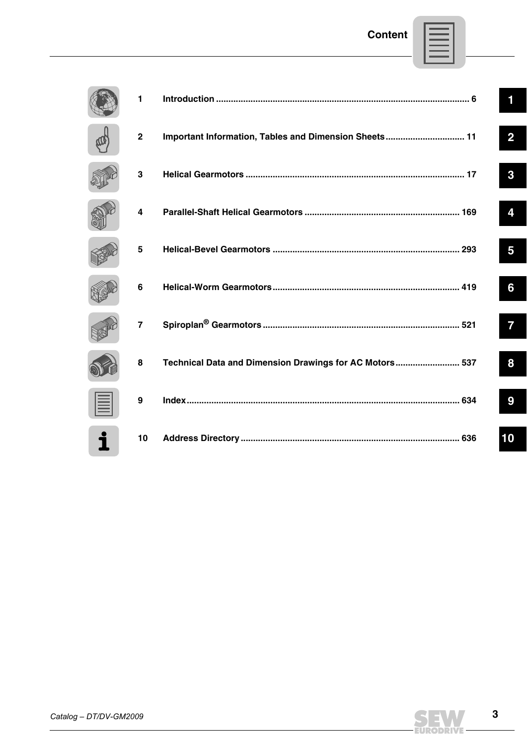| 1              |                                                         | 1              |
|----------------|---------------------------------------------------------|----------------|
| $\overline{2}$ | Important Information, Tables and Dimension Sheets 11   | $\overline{2}$ |
| 3              |                                                         | 3              |
| 4              |                                                         | 4              |
| 5              |                                                         | 5              |
| 6              |                                                         | 6              |
| $\overline{7}$ |                                                         | 7              |
| 8              | Technical Data and Dimension Drawings for AC Motors 537 | 8              |
| 9              |                                                         | 9              |
| 10             |                                                         | 10             |



 $\mathbf{3}$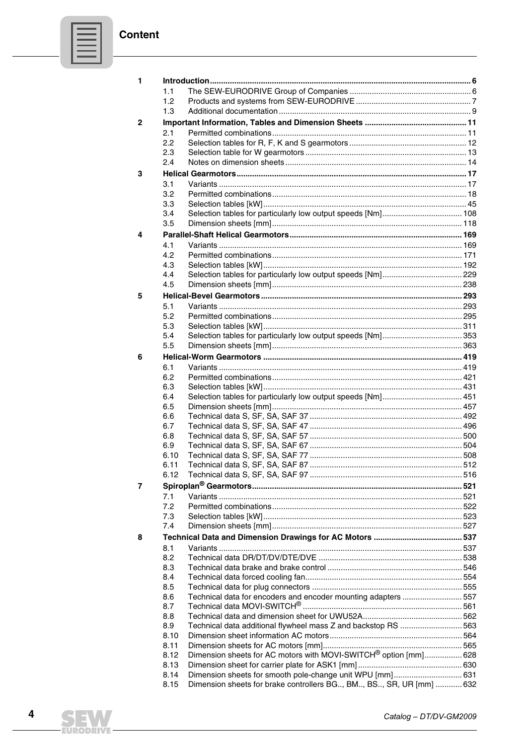| _____ |  |
|-------|--|
|       |  |
|       |  |
|       |  |

| 1            |      |                                                                     |  |
|--------------|------|---------------------------------------------------------------------|--|
|              | 1.1  |                                                                     |  |
|              | 1.2  |                                                                     |  |
|              | 1.3  |                                                                     |  |
| $\mathbf{2}$ |      |                                                                     |  |
|              | 2.1  |                                                                     |  |
|              | 2.2  |                                                                     |  |
|              | 2.3  |                                                                     |  |
|              | 2.4  |                                                                     |  |
| 3            |      |                                                                     |  |
|              | 3.1  |                                                                     |  |
|              | 3.2  |                                                                     |  |
|              | 3.3  |                                                                     |  |
|              | 3.4  |                                                                     |  |
|              | 3.5  |                                                                     |  |
|              |      |                                                                     |  |
| 4            |      |                                                                     |  |
|              | 4.1  |                                                                     |  |
|              | 4.2  |                                                                     |  |
|              | 4.3  |                                                                     |  |
|              | 4.4  |                                                                     |  |
|              | 4.5  |                                                                     |  |
| 5            |      |                                                                     |  |
|              | 5.1  |                                                                     |  |
|              | 5.2  |                                                                     |  |
|              | 5.3  |                                                                     |  |
|              | 5.4  |                                                                     |  |
|              | 5.5  |                                                                     |  |
| 6            |      |                                                                     |  |
|              | 6.1  |                                                                     |  |
|              | 6.2  |                                                                     |  |
|              | 6.3  |                                                                     |  |
|              | 6.4  |                                                                     |  |
|              | 6.5  |                                                                     |  |
|              | 6.6  |                                                                     |  |
|              | 6.7  |                                                                     |  |
|              | 6.8  |                                                                     |  |
|              | 6.9  |                                                                     |  |
|              | 6.10 |                                                                     |  |
|              | 6.11 |                                                                     |  |
|              | 6.12 |                                                                     |  |
| 7            |      |                                                                     |  |
|              | 7.1  |                                                                     |  |
|              | 7.2  |                                                                     |  |
|              | 7.3  |                                                                     |  |
|              | 7.4  |                                                                     |  |
| 8            |      |                                                                     |  |
|              | 8.1  |                                                                     |  |
|              | 8.2  |                                                                     |  |
|              | 8.3  |                                                                     |  |
|              | 8.4  |                                                                     |  |
|              | 8.5  |                                                                     |  |
|              | 8.6  | Technical data for encoders and encoder mounting adapters  557      |  |
|              | 8.7  |                                                                     |  |
|              | 8.8  |                                                                     |  |
|              | 8.9  | Technical data additional flywheel mass Z and backstop RS 563       |  |
|              | 8.10 |                                                                     |  |
|              | 8.11 |                                                                     |  |
|              | 8.12 | Dimension sheets for AC motors with MOVI-SWITCH® option [mm] 628    |  |
|              | 8.13 |                                                                     |  |
|              | 8.14 | Dimension sheets for smooth pole-change unit WPU [mm] 631           |  |
|              | 8.15 | Dimension sheets for brake controllers BG, BM, BS, SR, UR [mm]  632 |  |



EURODRIVE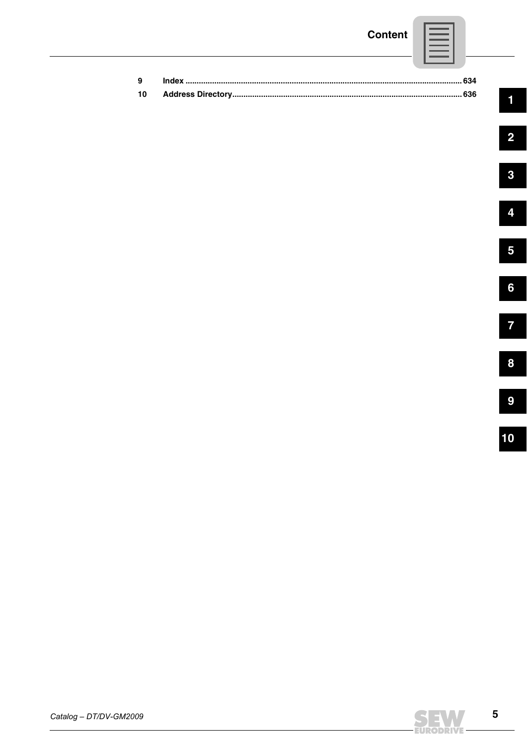## **Content**

| 9 |  |
|---|--|
|   |  |

 $10$ 

 $\blacksquare$ 

 $\overline{\mathbf{2}}$ 



 $\overline{5}$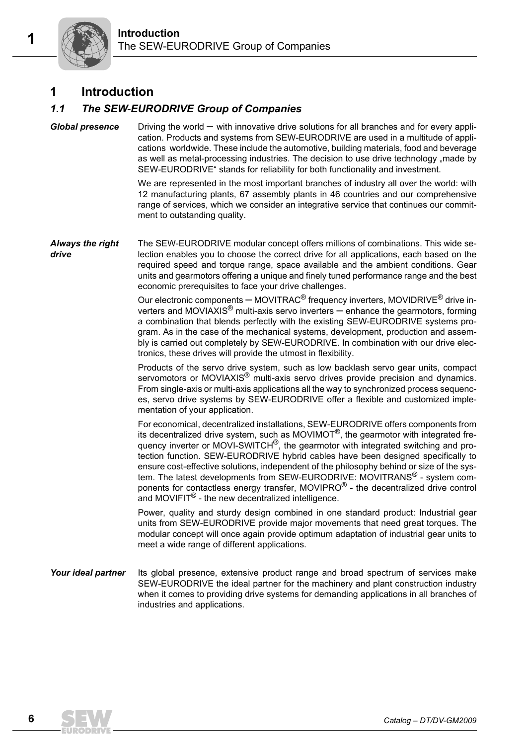## **1** Introduction

## *1.1 The SEW-EURODRIVE Group of Companies*

*Global presence* Driving the world – with innovative drive solutions for all branches and for every application. Products and systems from SEW-EURODRIVE are used in a multitude of applications worldwide. These include the automotive, building materials, food and beverage as well as metal-processing industries. The decision to use drive technology "made by SEW-EURODRIVE" stands for reliability for both functionality and investment.

> We are represented in the most important branches of industry all over the world: with 12 manufacturing plants, 67 assembly plants in 46 countries and our comprehensive range of services, which we consider an integrative service that continues our commitment to outstanding quality.

*Always the right drive* The SEW-EURODRIVE modular concept offers millions of combinations. This wide selection enables you to choose the correct drive for all applications, each based on the required speed and torque range, space available and the ambient conditions. Gear units and gearmotors offering a unique and finely tuned performance range and the best economic prerequisites to face your drive challenges.

> Our electronic components – MOVITRAC<sup>®</sup> frequency inverters, MOVIDRIVE<sup>®</sup> drive inverters and MOVIAXIS® multi-axis servo inverters – enhance the gearmotors, forming a combination that blends perfectly with the existing SEW-EURODRIVE systems program. As in the case of the mechanical systems, development, production and assembly is carried out completely by SEW-EURODRIVE. In combination with our drive electronics, these drives will provide the utmost in flexibility.

> Products of the servo drive system, such as low backlash servo gear units, compact servomotors or MOVIAXIS<sup>®</sup> multi-axis servo drives provide precision and dynamics. From single-axis or multi-axis applications all the way to synchronized process sequences, servo drive systems by SEW-EURODRIVE offer a flexible and customized implementation of your application.

> For economical, decentralized installations, SEW-EURODRIVE offers components from its decentralized drive system, such as MOVIMOT<sup>®</sup>, the gearmotor with integrated frequency inverter or MOVI-SWITCH®, the gearmotor with integrated switching and protection function. SEW-EURODRIVE hybrid cables have been designed specifically to ensure cost-effective solutions, independent of the philosophy behind or size of the system. The latest developments from SEW-EURODRIVE: MOVITRANS<sup>®</sup> - system components for contactless energy transfer, MOVIPRO® - the decentralized drive control and MOVIFIT<sup>®</sup> - the new decentralized intelligence.

> Power, quality and sturdy design combined in one standard product: Industrial gear units from SEW-EURODRIVE provide major movements that need great torques. The modular concept will once again provide optimum adaptation of industrial gear units to meet a wide range of different applications.

**Your ideal partner** Its global presence, extensive product range and broad spectrum of services make SEW-EURODRIVE the ideal partner for the machinery and plant construction industry when it comes to providing drive systems for demanding applications in all branches of industries and applications.

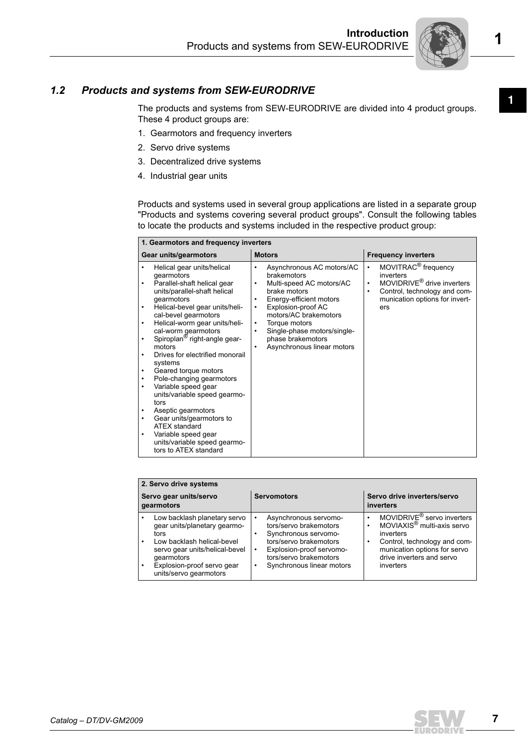

# **<sup>1</sup>** *1.2 Products and systems from SEW-EURODRIVE*

The products and systems from SEW-EURODRIVE are divided into 4 product groups. These 4 product groups are:

- 1. Gearmotors and frequency inverters
- 2. Servo drive systems
- 3. Decentralized drive systems
- 4. Industrial gear units

Products and systems used in several group applications are listed in a separate group "Products and systems covering several product groups". Consult the following tables to locate the products and systems included in the respective product group:

| 1. Gearmotors and frequency inverters                                                                                                                                                                                                                                                                                                                                                                                                                                                                                                                                                                                                                                                                                           |                                                                                                                                                                                                                                                                                                                                                              |                                                                                                                                                                                |  |  |  |  |
|---------------------------------------------------------------------------------------------------------------------------------------------------------------------------------------------------------------------------------------------------------------------------------------------------------------------------------------------------------------------------------------------------------------------------------------------------------------------------------------------------------------------------------------------------------------------------------------------------------------------------------------------------------------------------------------------------------------------------------|--------------------------------------------------------------------------------------------------------------------------------------------------------------------------------------------------------------------------------------------------------------------------------------------------------------------------------------------------------------|--------------------------------------------------------------------------------------------------------------------------------------------------------------------------------|--|--|--|--|
| Gear units/gearmotors                                                                                                                                                                                                                                                                                                                                                                                                                                                                                                                                                                                                                                                                                                           | <b>Motors</b>                                                                                                                                                                                                                                                                                                                                                | <b>Frequency inverters</b>                                                                                                                                                     |  |  |  |  |
| Helical gear units/helical<br>٠<br>gearmotors<br>Parallel-shaft helical gear<br>$\bullet$<br>units/parallel-shaft helical<br>gearmotors<br>Helical-bevel gear units/heli-<br>$\bullet$<br>cal-bevel gearmotors<br>Helical-worm gear units/heli-<br>$\bullet$<br>cal-worm gearmotors<br>Spiroplan <sup>®</sup> right-angle gear-<br>$\bullet$<br>motors<br>Drives for electrified monorail<br>systems<br>Geared torque motors<br>$\bullet$<br>Pole-changing gearmotors<br>٠<br>Variable speed gear<br>$\bullet$<br>units/variable speed gearmo-<br>tors<br>Aseptic gearmotors<br>٠<br>Gear units/gearmotors to<br>٠<br><b>ATEX standard</b><br>Variable speed gear<br>٠<br>units/variable speed gearmo-<br>tors to ATEX standard | Asynchronous AC motors/AC<br>$\bullet$<br>brakemotors<br>Multi-speed AC motors/AC<br>$\bullet$<br>brake motors<br>Energy-efficient motors<br>$\bullet$<br>Explosion-proof AC<br>$\bullet$<br>motors/AC brakemotors<br>Torque motors<br>$\bullet$<br>Single-phase motors/single-<br>$\bullet$<br>phase brakemotors<br>Asynchronous linear motors<br>$\bullet$ | MOVITRAC <sup>®</sup> frequency<br>٠<br>inverters<br>MOVIDRIVE <sup>®</sup> drive inverters<br>٠<br>Control, technology and com-<br>٠<br>munication options for invert-<br>ers |  |  |  |  |

|                                      | 2. Servo drive systems                                                                                                                                                                                     |                                                                                                                                                                                                                                  |                                                                                                                                                                                                              |  |  |  |  |
|--------------------------------------|------------------------------------------------------------------------------------------------------------------------------------------------------------------------------------------------------------|----------------------------------------------------------------------------------------------------------------------------------------------------------------------------------------------------------------------------------|--------------------------------------------------------------------------------------------------------------------------------------------------------------------------------------------------------------|--|--|--|--|
| Servo gear units/servo<br>gearmotors |                                                                                                                                                                                                            | <b>Servomotors</b>                                                                                                                                                                                                               | Servo drive inverters/servo<br>inverters                                                                                                                                                                     |  |  |  |  |
|                                      | Low backlash planetary servo<br>qear units/planetary gearmo-<br>tors<br>Low backlash helical-bevel<br>servo gear units/helical-bevel<br>gearmotors<br>Explosion-proof servo gear<br>units/servo gearmotors | Asynchronous servomo-<br>$\bullet$<br>tors/servo brakemotors<br>Synchronous servomo-<br>٠<br>tors/servo brakemotors<br>Explosion-proof servomo-<br>$\bullet$<br>tors/servo brakemotors<br>Synchronous linear motors<br>$\bullet$ | MOVIDRIVE <sup>®</sup> servo inverters<br>MOVIAXIS <sup>®</sup> multi-axis servo<br>٠<br>inverters<br>Control, technology and com-<br>munication options for servo<br>drive inverters and servo<br>inverters |  |  |  |  |

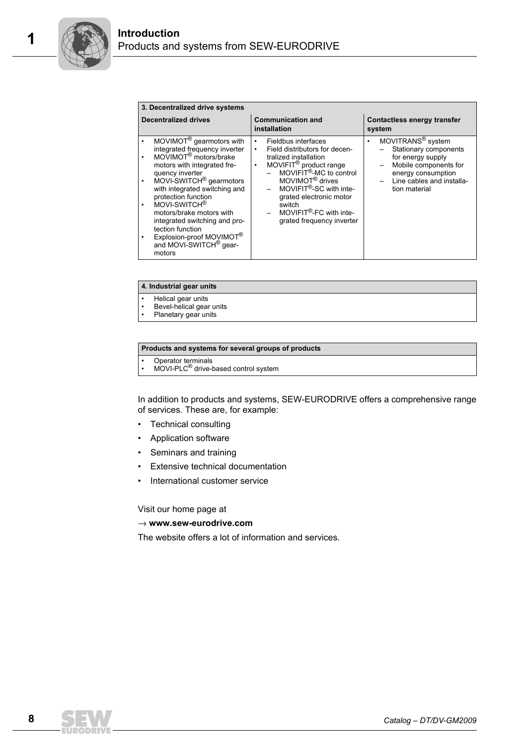| 3. Decentralized drive systems                                                                                                                                                                                                                                                                                                                                                                                                                                                             |                                                                                                                                                                                                                                                                                                                                                            |                                                                                                                                                                               |  |  |  |  |  |
|--------------------------------------------------------------------------------------------------------------------------------------------------------------------------------------------------------------------------------------------------------------------------------------------------------------------------------------------------------------------------------------------------------------------------------------------------------------------------------------------|------------------------------------------------------------------------------------------------------------------------------------------------------------------------------------------------------------------------------------------------------------------------------------------------------------------------------------------------------------|-------------------------------------------------------------------------------------------------------------------------------------------------------------------------------|--|--|--|--|--|
| <b>Decentralized drives</b>                                                                                                                                                                                                                                                                                                                                                                                                                                                                | <b>Communication and</b><br>installation                                                                                                                                                                                                                                                                                                                   | Contactless energy transfer<br>system                                                                                                                                         |  |  |  |  |  |
| MOVIMOT <sup>®</sup> gearmotors with<br>integrated frequency inverter<br>MOVIMOT <sup>®</sup> motors/brake<br>motors with integrated fre-<br>quency inverter<br>MOVI-SWITCH <sup>®</sup> gearmotors<br>$\bullet$<br>with integrated switching and<br>protection function<br>MOVI-SWITCH <sup>®</sup><br>motors/brake motors with<br>integrated switching and pro-<br>tection function<br>Explosion-proof MOVIMOT <sup>®</sup><br>$\bullet$<br>and MOVI-SWITCH <sup>®</sup> gear-<br>motors | Fieldbus interfaces<br>$\bullet$<br>Field distributors for decen-<br>$\bullet$<br>tralized installation<br>MOVIFIT <sup>®</sup> product range<br>$\bullet$<br>MOVIFIT <sup>®</sup> -MC to control<br>MOVIMOT <sup>®</sup> drives<br>MOVIFIT®-SC with inte-<br>grated electronic motor<br>switch<br>$-$ MOVIFIT®-FC with inte-<br>grated frequency inverter | MOVITRANS <sup>®</sup> system<br>٠<br>Stationary components<br>for energy supply<br>Mobile components for<br>energy consumption<br>Line cables and installa-<br>tion material |  |  |  |  |  |

#### **4. Industrial gear units**

- Helical gear units
- Bevel-helical gear units
- Planetary gear units

#### **Products and systems for several groups of products**

- 
- Operator terminals<br>• MOVI-PLC<sup>®</sup> drive-based control system

In addition to products and systems, SEW-EURODRIVE offers a comprehensive range of services. These are, for example:

- Technical consulting
- Application software
- Seminars and training
- **Extensive technical documentation**
- International customer service

Visit our home page at

#### → **www.sew-eurodrive.com**

The website offers a lot of information and services.

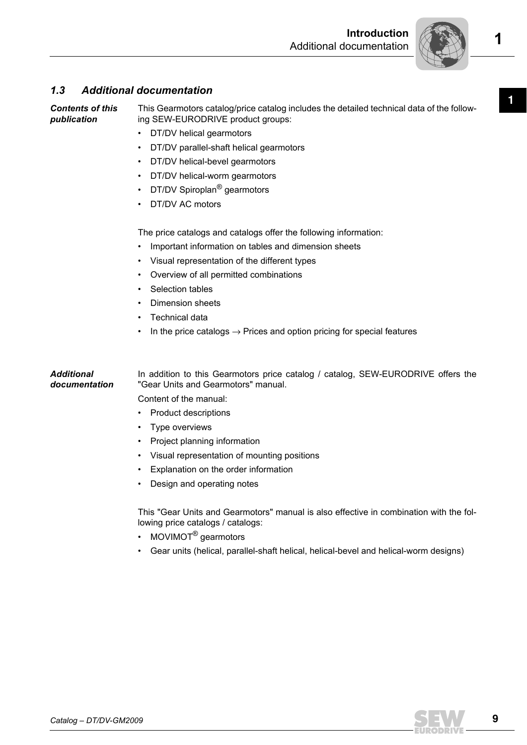

### *1.3 Additional documentation*

*Contents of this publication* This Gearmotors catalog/price catalog includes the detailed technical data of the following SEW-EURODRIVE product groups:

- DT/DV helical gearmotors
- DT/DV parallel-shaft helical gearmotors
- DT/DV helical-bevel gearmotors
- DT/DV helical-worm gearmotors
- DT/DV Spiroplan<sup>®</sup> gearmotors
- DT/DV AC motors

The price catalogs and catalogs offer the following information:

- Important information on tables and dimension sheets
- Visual representation of the different types
- Overview of all permitted combinations
- Selection tables
- Dimension sheets
- Technical data
- In the price catalogs  $\rightarrow$  Prices and option pricing for special features

#### *Additional documentation* In addition to this Gearmotors price catalog / catalog, SEW-EURODRIVE offers the "Gear Units and Gearmotors" manual.

Content of the manual:

- Product descriptions
- Type overviews
- Project planning information
- Visual representation of mounting positions
- Explanation on the order information
- Design and operating notes

This "Gear Units and Gearmotors" manual is also effective in combination with the following price catalogs / catalogs:

- MOVIMOT<sup>®</sup> gearmotors
- Gear units (helical, parallel-shaft helical, helical-bevel and helical-worm designs)



**1**